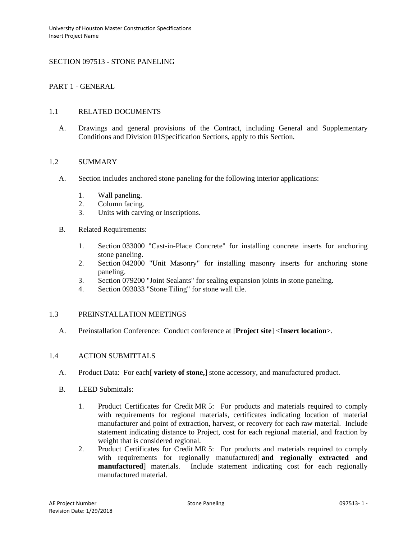## SECTION 097513 - STONE PANELING

### PART 1 - GENERAL

#### 1.1 RELATED DOCUMENTS

A. Drawings and general provisions of the Contract, including General and Supplementary Conditions and Division 01Specification Sections, apply to this Section.

### 1.2 SUMMARY

- A. Section includes anchored stone paneling for the following interior applications:
	- 1. Wall paneling.
	- 2. Column facing.
	- 3. Units with carving or inscriptions.
- B. Related Requirements:
	- 1. Section 033000 "Cast-in-Place Concrete" for installing concrete inserts for anchoring stone paneling.
	- 2. Section 042000 "Unit Masonry" for installing masonry inserts for anchoring stone paneling.
	- 3. Section 079200 "Joint Sealants" for sealing expansion joints in stone paneling.
	- 4. Section 093033 "Stone Tiling" for stone wall tile.

## 1.3 PREINSTALLATION MEETINGS

A. Preinstallation Conference: Conduct conference at [**Project site**] <**Insert location**>.

#### 1.4 ACTION SUBMITTALS

- A. Product Data: For each[ **variety of stone,**] stone accessory, and manufactured product.
- B. LEED Submittals:
	- 1. Product Certificates for Credit MR 5: For products and materials required to comply with requirements for regional materials, certificates indicating location of material manufacturer and point of extraction, harvest, or recovery for each raw material. Include statement indicating distance to Project, cost for each regional material, and fraction by weight that is considered regional.
	- 2. Product Certificates for Credit MR 5: For products and materials required to comply with requirements for regionally manufactured[ **and regionally extracted and manufactured**] materials. Include statement indicating cost for each regionally manufactured material.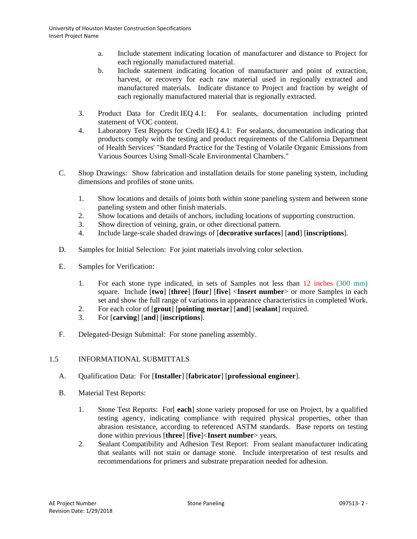- a. Include statement indicating location of manufacturer and distance to Project for each regionally manufactured material.
- b. Include statement indicating location of manufacturer and point of extraction, harvest, or recovery for each raw material used in regionally extracted and manufactured materials. Indicate distance to Project and fraction by weight of each regionally manufactured material that is regionally extracted.
- 3. Product Data for Credit IEQ 4.1: For sealants, documentation including printed statement of VOC content.
- 4. Laboratory Test Reports for Credit IEQ 4.1: For sealants, documentation indicating that products comply with the testing and product requirements of the California Department of Health Services' "Standard Practice for the Testing of Volatile Organic Emissions from Various Sources Using Small-Scale Environmental Chambers."
- C. Shop Drawings: Show fabrication and installation details for stone paneling system, including dimensions and profiles of stone units.
	- 1. Show locations and details of joints both within stone paneling system and between stone paneling system and other finish materials.
	- 2. Show locations and details of anchors, including locations of supporting construction.
	- 3. Show direction of veining, grain, or other directional pattern.
	- 4. Include large-scale shaded drawings of [**decorative surfaces**] [**and**] [**inscriptions**].
- D. Samples for Initial Selection: For joint materials involving color selection.
- E. Samples for Verification:
	- 1. For each stone type indicated, in sets of Samples not less than 12 inches (300 mm) square. Include [**two**] [**three**] [**four**] [**five**] <**Insert number**> or more Samples in each set and show the full range of variations in appearance characteristics in completed Work.
	- 2. For each color of [**grout**] [**pointing mortar**] [**and**] [**sealant**] required.
	- 3. For [**carving**] [**and**] [**inscriptions**].
- F. Delegated-Design Submittal: For stone paneling assembly.

# 1.5 INFORMATIONAL SUBMITTALS

- A. Qualification Data: For [**Installer**] [**fabricator**] [**professional engineer**].
- B. Material Test Reports:
	- 1. Stone Test Reports: For[ **each**] stone variety proposed for use on Project, by a qualified testing agency, indicating compliance with required physical properties, other than abrasion resistance, according to referenced ASTM standards. Base reports on testing done within previous [**three**] [**five**]<**Insert number**> years.
	- 2. Sealant Compatibility and Adhesion Test Report: From sealant manufacturer indicating that sealants will not stain or damage stone. Include interpretation of test results and recommendations for primers and substrate preparation needed for adhesion.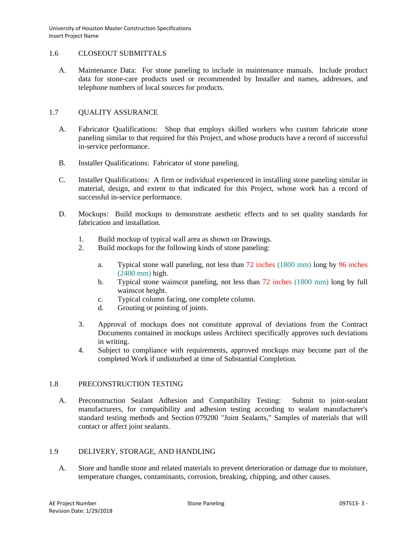### 1.6 CLOSEOUT SUBMITTALS

A. Maintenance Data: For stone paneling to include in maintenance manuals. Include product data for stone-care products used or recommended by Installer and names, addresses, and telephone numbers of local sources for products.

## 1.7 QUALITY ASSURANCE

- A. Fabricator Qualifications: Shop that employs skilled workers who custom fabricate stone paneling similar to that required for this Project, and whose products have a record of successful in-service performance.
- B. Installer Qualifications: Fabricator of stone paneling.
- C. Installer Qualifications: A firm or individual experienced in installing stone paneling similar in material, design, and extent to that indicated for this Project, whose work has a record of successful in-service performance.
- D. Mockups: Build mockups to demonstrate aesthetic effects and to set quality standards for fabrication and installation.
	- 1. Build mockup of typical wall area as shown on Drawings.<br>2. Build mockups for the following kinds of stone paneling:
	- Build mockups for the following kinds of stone paneling:
		- a. Typical stone wall paneling, not less than 72 inches (1800 mm) long by 96 inches (2400 mm) high.
		- b. Typical stone wainscot paneling, not less than 72 inches (1800 mm) long by full wainscot height.
		- c. Typical column facing, one complete column.
		- d. Grouting or pointing of joints.
	- 3. Approval of mockups does not constitute approval of deviations from the Contract Documents contained in mockups unless Architect specifically approves such deviations in writing.
	- 4. Subject to compliance with requirements, approved mockups may become part of the completed Work if undisturbed at time of Substantial Completion.

## 1.8 PRECONSTRUCTION TESTING

A. Preconstruction Sealant Adhesion and Compatibility Testing: Submit to joint-sealant manufacturers, for compatibility and adhesion testing according to sealant manufacturer's standard testing methods and Section 079200 "Joint Sealants," Samples of materials that will contact or affect joint sealants.

## 1.9 DELIVERY, STORAGE, AND HANDLING

A. Store and handle stone and related materials to prevent deterioration or damage due to moisture, temperature changes, contaminants, corrosion, breaking, chipping, and other causes.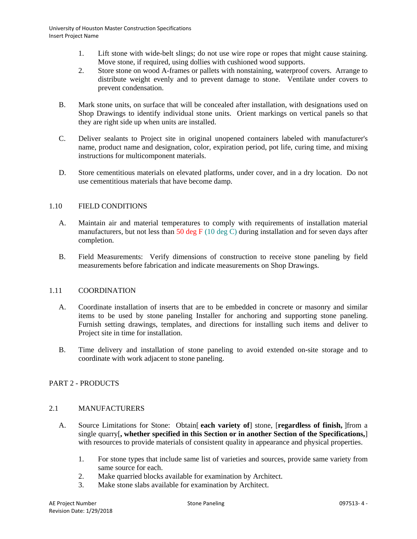- 1. Lift stone with wide-belt slings; do not use wire rope or ropes that might cause staining. Move stone, if required, using dollies with cushioned wood supports.
- 2. Store stone on wood A-frames or pallets with nonstaining, waterproof covers. Arrange to distribute weight evenly and to prevent damage to stone. Ventilate under covers to prevent condensation.
- B. Mark stone units, on surface that will be concealed after installation, with designations used on Shop Drawings to identify individual stone units. Orient markings on vertical panels so that they are right side up when units are installed.
- C. Deliver sealants to Project site in original unopened containers labeled with manufacturer's name, product name and designation, color, expiration period, pot life, curing time, and mixing instructions for multicomponent materials.
- D. Store cementitious materials on elevated platforms, under cover, and in a dry location. Do not use cementitious materials that have become damp.

# 1.10 FIELD CONDITIONS

- A. Maintain air and material temperatures to comply with requirements of installation material manufacturers, but not less than 50 deg F (10 deg C) during installation and for seven days after completion.
- B. Field Measurements: Verify dimensions of construction to receive stone paneling by field measurements before fabrication and indicate measurements on Shop Drawings.

## 1.11 COORDINATION

- A. Coordinate installation of inserts that are to be embedded in concrete or masonry and similar items to be used by stone paneling Installer for anchoring and supporting stone paneling. Furnish setting drawings, templates, and directions for installing such items and deliver to Project site in time for installation.
- B. Time delivery and installation of stone paneling to avoid extended on-site storage and to coordinate with work adjacent to stone paneling.

## PART 2 - PRODUCTS

## 2.1 MANUFACTURERS

- A. Source Limitations for Stone: Obtain[ **each variety of**] stone, [**regardless of finish,** ]from a single quarry[**, whether specified in this Section or in another Section of the Specifications,**] with resources to provide materials of consistent quality in appearance and physical properties.
	- 1. For stone types that include same list of varieties and sources, provide same variety from same source for each.
	- 2. Make quarried blocks available for examination by Architect.
	- 3. Make stone slabs available for examination by Architect.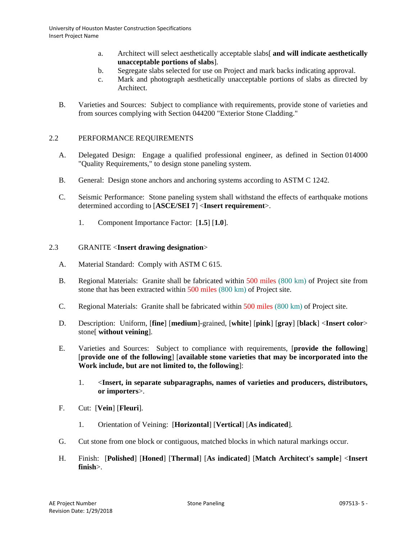- a. Architect will select aesthetically acceptable slabs[ **and will indicate aesthetically unacceptable portions of slabs**].
- b. Segregate slabs selected for use on Project and mark backs indicating approval.
- c. Mark and photograph aesthetically unacceptable portions of slabs as directed by Architect.
- B. Varieties and Sources: Subject to compliance with requirements, provide stone of varieties and from sources complying with Section 044200 "Exterior Stone Cladding."

## 2.2 PERFORMANCE REQUIREMENTS

- A. Delegated Design: Engage a qualified professional engineer, as defined in Section 014000 "Quality Requirements," to design stone paneling system.
- B. General: Design stone anchors and anchoring systems according to ASTM C 1242.
- C. Seismic Performance: Stone paneling system shall withstand the effects of earthquake motions determined according to [**ASCE/SEI 7**] <**Insert requirement**>.
	- 1. Component Importance Factor: [**1.5**] [**1.0**].

## 2.3 GRANITE <**Insert drawing designation**>

- A. Material Standard: Comply with ASTM C 615.
- B. Regional Materials: Granite shall be fabricated within 500 miles (800 km) of Project site from stone that has been extracted within 500 miles (800 km) of Project site.
- C. Regional Materials: Granite shall be fabricated within 500 miles (800 km) of Project site.
- D. Description: Uniform, [**fine**] [**medium**]-grained, [**white**] [**pink**] [**gray**] [**black**] <**Insert color**> stone[ **without veining**].
- E. Varieties and Sources: Subject to compliance with requirements, [**provide the following**] [**provide one of the following**] [**available stone varieties that may be incorporated into the Work include, but are not limited to, the following**]:
	- 1. <**Insert, in separate subparagraphs, names of varieties and producers, distributors, or importers**>.
- F. Cut: [**Vein**] [**Fleuri**].
	- 1. Orientation of Veining: [**Horizontal**] [**Vertical**] [**As indicated**].
- G. Cut stone from one block or contiguous, matched blocks in which natural markings occur.
- H. Finish: [**Polished**] [**Honed**] [**Thermal**] [**As indicated**] [**Match Architect's sample**] <**Insert finish**>.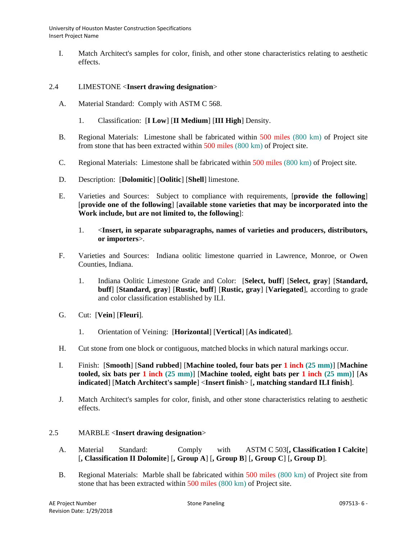I. Match Architect's samples for color, finish, and other stone characteristics relating to aesthetic effects.

### 2.4 LIMESTONE <**Insert drawing designation**>

- A. Material Standard: Comply with ASTM C 568.
	- 1. Classification: [**I Low**] [**II Medium**] [**III High**] Density.
- B. Regional Materials: Limestone shall be fabricated within 500 miles (800 km) of Project site from stone that has been extracted within 500 miles (800 km) of Project site.
- C. Regional Materials: Limestone shall be fabricated within 500 miles (800 km) of Project site.
- D. Description: [**Dolomitic**] [**Oolitic**] [**Shell**] limestone.
- E. Varieties and Sources: Subject to compliance with requirements, [**provide the following**] [**provide one of the following**] [**available stone varieties that may be incorporated into the Work include, but are not limited to, the following**]:
	- 1. <**Insert, in separate subparagraphs, names of varieties and producers, distributors, or importers**>.
- F. Varieties and Sources: Indiana oolitic limestone quarried in Lawrence, Monroe, or Owen Counties, Indiana.
	- 1. Indiana Oolitic Limestone Grade and Color: [**Select, buff**] [**Select, gray**] [**Standard, buff**] [**Standard, gray**] [**Rustic, buff**] [**Rustic, gray**] [**Variegated**], according to grade and color classification established by ILI.
- G. Cut: [**Vein**] [**Fleuri**].
	- 1. Orientation of Veining: [**Horizontal**] [**Vertical**] [**As indicated**].
- H. Cut stone from one block or contiguous, matched blocks in which natural markings occur.
- I. Finish: [**Smooth**] [**Sand rubbed**] [**Machine tooled, four bats per 1 inch (25 mm)**] [**Machine tooled, six bats per 1 inch (25 mm)**] [**Machine tooled, eight bats per 1 inch (25 mm)**] [**As indicated**] [**Match Architect's sample**] <**Insert finish**> [**, matching standard ILI finish**].
- J. Match Architect's samples for color, finish, and other stone characteristics relating to aesthetic effects.

#### 2.5 MARBLE <**Insert drawing designation**>

- A. Material Standard: Comply with ASTM C 503[**, Classification I Calcite**] [**, Classification II Dolomite**] [**, Group A**] [**, Group B**] [**, Group C**] [**, Group D**].
- B. Regional Materials: Marble shall be fabricated within 500 miles (800 km) of Project site from stone that has been extracted within 500 miles (800 km) of Project site.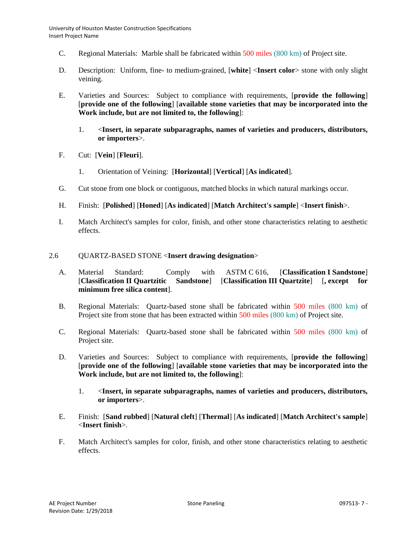- C. Regional Materials: Marble shall be fabricated within 500 miles (800 km) of Project site.
- D. Description: Uniform, fine- to medium-grained, [**white**] <**Insert color**> stone with only slight veining.
- E. Varieties and Sources: Subject to compliance with requirements, [**provide the following**] [**provide one of the following**] [**available stone varieties that may be incorporated into the Work include, but are not limited to, the following**]:
	- 1. <**Insert, in separate subparagraphs, names of varieties and producers, distributors, or importers**>.
- F. Cut: [**Vein**] [**Fleuri**].
	- 1. Orientation of Veining: [**Horizontal**] [**Vertical**] [**As indicated**].
- G. Cut stone from one block or contiguous, matched blocks in which natural markings occur.
- H. Finish: [**Polished**] [**Honed**] [**As indicated**] [**Match Architect's sample**] <**Insert finish**>.
- I. Match Architect's samples for color, finish, and other stone characteristics relating to aesthetic effects.

## 2.6 QUARTZ-BASED STONE <**Insert drawing designation**>

- A. Material Standard: Comply with ASTM C 616, [**Classification I Sandstone**] [**Classification II Quartzitic Sandstone**] [**Classification III Quartzite**] [**, except for minimum free silica content**].
- B. Regional Materials: Quartz-based stone shall be fabricated within 500 miles (800 km) of Project site from stone that has been extracted within 500 miles (800 km) of Project site.
- C. Regional Materials: Quartz-based stone shall be fabricated within 500 miles (800 km) of Project site.
- D. Varieties and Sources: Subject to compliance with requirements, [**provide the following**] [**provide one of the following**] [**available stone varieties that may be incorporated into the Work include, but are not limited to, the following**]:
	- 1. <**Insert, in separate subparagraphs, names of varieties and producers, distributors, or importers**>.
- E. Finish: [**Sand rubbed**] [**Natural cleft**] [**Thermal**] [**As indicated**] [**Match Architect's sample**] <**Insert finish**>.
- F. Match Architect's samples for color, finish, and other stone characteristics relating to aesthetic effects.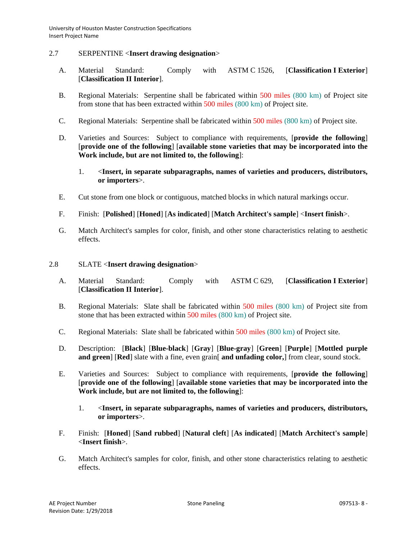### 2.7 SERPENTINE <**Insert drawing designation**>

- A. Material Standard: Comply with ASTM C 1526, [**Classification I Exterior**] [**Classification II Interior**].
- B. Regional Materials: Serpentine shall be fabricated within 500 miles (800 km) of Project site from stone that has been extracted within 500 miles (800 km) of Project site.
- C. Regional Materials: Serpentine shall be fabricated within 500 miles (800 km) of Project site.
- D. Varieties and Sources: Subject to compliance with requirements, [**provide the following**] [**provide one of the following**] [**available stone varieties that may be incorporated into the Work include, but are not limited to, the following**]:
	- 1. <**Insert, in separate subparagraphs, names of varieties and producers, distributors, or importers**>.
- E. Cut stone from one block or contiguous, matched blocks in which natural markings occur.
- F. Finish: [**Polished**] [**Honed**] [**As indicated**] [**Match Architect's sample**] <**Insert finish**>.
- G. Match Architect's samples for color, finish, and other stone characteristics relating to aesthetic effects.
- 2.8 SLATE <**Insert drawing designation**>
	- A. Material Standard: Comply with ASTM C 629, [**Classification I Exterior**] [**Classification II Interior**].
	- B. Regional Materials: Slate shall be fabricated within 500 miles (800 km) of Project site from stone that has been extracted within 500 miles (800 km) of Project site.
	- C. Regional Materials: Slate shall be fabricated within 500 miles (800 km) of Project site.
	- D. Description: [**Black**] [**Blue-black**] [**Gray**] [**Blue-gray**] [**Green**] [**Purple**] [**Mottled purple and green**] [**Red**] slate with a fine, even grain[ **and unfading color,**] from clear, sound stock.
	- E. Varieties and Sources: Subject to compliance with requirements, [**provide the following**] [**provide one of the following**] [**available stone varieties that may be incorporated into the Work include, but are not limited to, the following**]:
		- 1. <**Insert, in separate subparagraphs, names of varieties and producers, distributors, or importers**>.
	- F. Finish: [**Honed**] [**Sand rubbed**] [**Natural cleft**] [**As indicated**] [**Match Architect's sample**] <**Insert finish**>.
	- G. Match Architect's samples for color, finish, and other stone characteristics relating to aesthetic effects.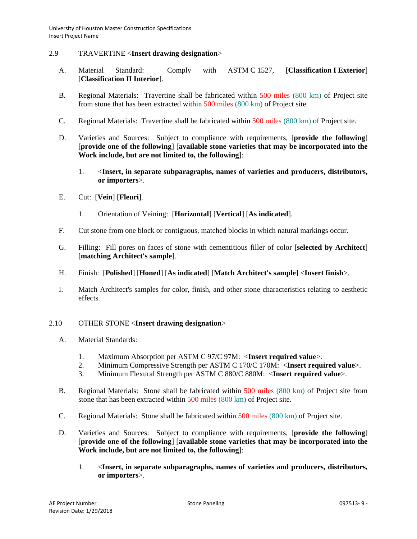### 2.9 TRAVERTINE <**Insert drawing designation**>

- A. Material Standard: Comply with ASTM C 1527, [**Classification I Exterior**] [**Classification II Interior**].
- B. Regional Materials: Travertine shall be fabricated within 500 miles (800 km) of Project site from stone that has been extracted within 500 miles (800 km) of Project site.
- C. Regional Materials: Travertine shall be fabricated within 500 miles (800 km) of Project site.
- D. Varieties and Sources: Subject to compliance with requirements, [**provide the following**] [**provide one of the following**] [**available stone varieties that may be incorporated into the Work include, but are not limited to, the following**]:
	- 1. <**Insert, in separate subparagraphs, names of varieties and producers, distributors, or importers**>.
- E. Cut: [**Vein**] [**Fleuri**].
	- 1. Orientation of Veining: [**Horizontal**] [**Vertical**] [**As indicated**].
- F. Cut stone from one block or contiguous, matched blocks in which natural markings occur.
- G. Filling: Fill pores on faces of stone with cementitious filler of color [**selected by Architect**] [**matching Architect's sample**].
- H. Finish: [**Polished**] [**Honed**] [**As indicated**] [**Match Architect's sample**] <**Insert finish**>.
- I. Match Architect's samples for color, finish, and other stone characteristics relating to aesthetic effects.

### 2.10 OTHER STONE <**Insert drawing designation**>

- A. Material Standards:
	- 1. Maximum Absorption per ASTM C 97/C 97M: <**Insert required value**>.
	- 2. Minimum Compressive Strength per ASTM C 170/C 170M: <**Insert required value**>.
	- 3. Minimum Flexural Strength per ASTM C 880/C 880M: <**Insert required value**>.
- B. Regional Materials: Stone shall be fabricated within 500 miles (800 km) of Project site from stone that has been extracted within 500 miles (800 km) of Project site.
- C. Regional Materials: Stone shall be fabricated within 500 miles (800 km) of Project site.
- D. Varieties and Sources: Subject to compliance with requirements, [**provide the following**] [**provide one of the following**] [**available stone varieties that may be incorporated into the Work include, but are not limited to, the following**]:
	- 1. <**Insert, in separate subparagraphs, names of varieties and producers, distributors, or importers**>.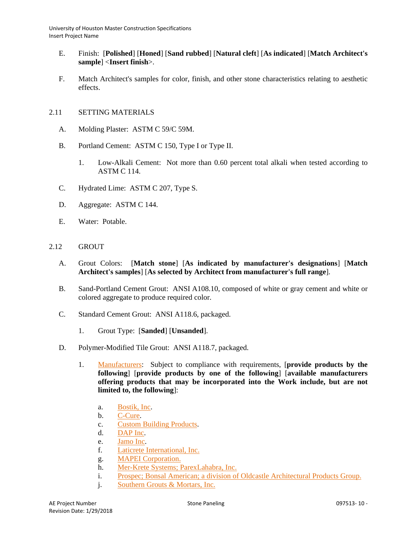- E. Finish: [**Polished**] [**Honed**] [**Sand rubbed**] [**Natural cleft**] [**As indicated**] [**Match Architect's sample**] <**Insert finish**>.
- F. Match Architect's samples for color, finish, and other stone characteristics relating to aesthetic effects.

## 2.11 SETTING MATERIALS

- A. Molding Plaster: ASTM C 59/C 59M.
- B. Portland Cement: ASTM C 150, Type I or Type II.
	- 1. Low-Alkali Cement: Not more than 0.60 percent total alkali when tested according to ASTM C 114.
- C. Hydrated Lime: ASTM C 207, Type S.
- D. Aggregate: ASTM C 144.
- E. Water: Potable.

## 2.12 GROUT

- A. Grout Colors: [**Match stone**] [**As indicated by manufacturer's designations**] [**Match Architect's samples**] [**As selected by Architect from manufacturer's full range**].
- B. Sand-Portland Cement Grout: ANSI A108.10, composed of white or gray cement and white or colored aggregate to produce required color.
- C. Standard Cement Grout: ANSI A118.6, packaged.
	- 1. Grout Type: [**Sanded**] [**Unsanded**].
- D. Polymer-Modified Tile Grout: ANSI A118.7, packaged.
	- 1. [Manufacturers:](http://www.specagent.com/LookUp/?ulid=6735&mf=04&src=wd) Subject to compliance with requirements, [**provide products by the following**] [**provide products by one of the following**] [**available manufacturers offering products that may be incorporated into the Work include, but are not limited to, the following**]:
		- a. [Bostik, Inc.](http://www.specagent.com/LookUp/?uid=123456835347&mf=04&src=wd)
		- b. [C-Cure.](http://www.specagent.com/LookUp/?uid=123456835348&mf=04&src=wd)
		- c. [Custom Building Products.](http://www.specagent.com/LookUp/?uid=123456835349&mf=04&src=wd)
		- d. [DAP Inc.](http://www.specagent.com/LookUp/?uid=123456835350&mf=04&src=wd)
		- e. [Jamo Inc.](http://www.specagent.com/LookUp/?uid=123456835351&mf=04&src=wd)
		- f. Laticrete [International, Inc.](http://www.specagent.com/LookUp/?uid=123456835352&mf=04&src=wd)
		- g. [MAPEI Corporation.](http://www.specagent.com/LookUp/?uid=123456835353&mf=04&src=wd)
		- h. [Mer-Krete Systems; ParexLahabra, Inc.](http://www.specagent.com/LookUp/?uid=123456835354&mf=04&src=wd)
		- i. [Prospec; Bonsal American; a division of Oldcastle Architectural Products Group.](http://www.specagent.com/LookUp/?uid=123456835355&mf=04&src=wd)
		- j. [Southern Grouts & Mortars, Inc.](http://www.specagent.com/LookUp/?uid=123456835356&mf=04&src=wd)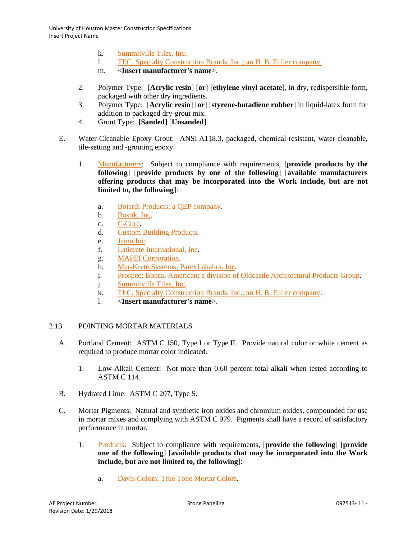- k. [Summitville Tiles, Inc.](http://www.specagent.com/LookUp/?uid=123456835357&mf=04&src=wd)
- l. [TEC, Specialty Construction Brands, Inc.; an H. B. Fuller company.](http://www.specagent.com/LookUp/?uid=123456835358&mf=04&src=wd)
- m. <**Insert manufacturer's name**>.
- 2. Polymer Type: [**Acrylic resin**] [**or**] [**ethylene vinyl acetate**], in dry, redispersible form, packaged with other dry ingredients.
- 3. Polymer Type: [**Acrylic resin**] [**or**] [**styrene-butadiene rubber**] in liquid-latex form for addition to packaged dry-grout mix.
- 4. Grout Type: [**Sanded**] [**Unsanded**].
- E. Water-Cleanable Epoxy Grout: ANSI A118.3, packaged, chemical-resistant, water-cleanable, tile-setting and -grouting epoxy.
	- 1. [Manufacturers:](http://www.specagent.com/LookUp/?ulid=6736&mf=04&src=wd) Subject to compliance with requirements, [**provide products by the following**] [**provide products by one of the following**] [**available manufacturers offering products that may be incorporated into the Work include, but are not limited to, the following**]:
		- a. [Boiardi Products; a QEP company.](http://www.specagent.com/LookUp/?uid=123456835359&mf=04&src=wd)
		- b. [Bostik, Inc.](http://www.specagent.com/LookUp/?uid=123456835360&mf=04&src=wd)
		- c. [C-Cure.](http://www.specagent.com/LookUp/?uid=123456835361&mf=04&src=wd)
		- d. [Custom Building Products.](http://www.specagent.com/LookUp/?uid=123456835362&mf=04&src=wd)
		- e. [Jamo Inc.](http://www.specagent.com/LookUp/?uid=123456835363&mf=04&src=wd)
		- f. [Laticrete International, Inc.](http://www.specagent.com/LookUp/?uid=123456835364&mf=04&src=wd)
		- g. [MAPEI Corporation.](http://www.specagent.com/LookUp/?uid=123456835365&mf=04&src=wd)
		- h. [Mer-Krete Systems; ParexLahabra, Inc.](http://www.specagent.com/LookUp/?uid=123456835366&mf=04&src=wd)
		- i. [Prospec; Bonsal American; a division of Oldcastle Architectural Products Group.](http://www.specagent.com/LookUp/?uid=123456835367&mf=04&src=wd)
		- j. [Summitville Tiles, Inc.](http://www.specagent.com/LookUp/?uid=123456835368&mf=04&src=wd)
		- k. [TEC, Specialty Construction Brands, Inc.; an H. B. Fuller company.](http://www.specagent.com/LookUp/?uid=123456835369&mf=04&src=wd)
		- l. <**Insert manufacturer's name**>.

## 2.13 POINTING MORTAR MATERIALS

- A. Portland Cement: ASTM C 150, Type I or Type II. Provide natural color or white cement as required to produce mortar color indicated.
	- 1. Low-Alkali Cement: Not more than 0.60 percent total alkali when tested according to ASTM C 114.
- B. Hydrated Lime: ASTM C 207, Type S.
- C. Mortar Pigments: Natural and synthetic iron oxides and chromium oxides, compounded for use in mortar mixes and complying with ASTM C 979. Pigments shall have a record of satisfactory performance in mortar.
	- 1. [Products:](http://www.specagent.com/LookUp/?ulid=6737&mf=04&src=wd) Subject to compliance with requirements, [**provide the following**] [**provide one of the following**] [**available products that may be incorporated into the Work include, but are not limited to, the following**]:
		- a. [Davis Colors; True Tone Mortar Colors.](http://www.specagent.com/LookUp/?uid=123456835371&mf=04&src=wd)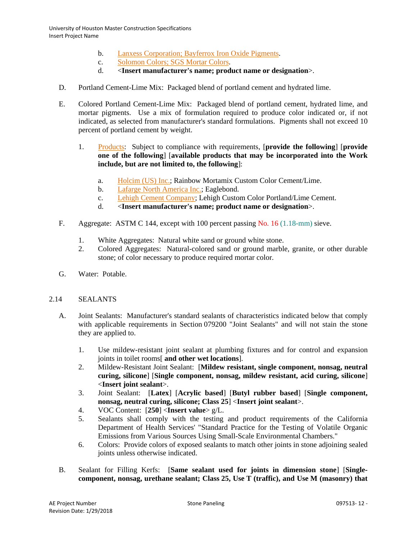- b. [Lanxess Corporation; Bayferrox Iron Oxide Pigments.](http://www.specagent.com/LookUp/?uid=123456835372&mf=04&src=wd)
- c. [Solomon Colors; SGS Mortar Colors.](http://www.specagent.com/LookUp/?uid=123456835373&mf=04&src=wd)
- d. <**Insert manufacturer's name; product name or designation**>.
- D. Portland Cement-Lime Mix: Packaged blend of portland cement and hydrated lime.
- E. Colored Portland Cement-Lime Mix: Packaged blend of portland cement, hydrated lime, and mortar pigments. Use a mix of formulation required to produce color indicated or, if not indicated, as selected from manufacturer's standard formulations. Pigments shall not exceed 10 percent of portland cement by weight.
	- 1. [Products:](http://www.specagent.com/LookUp/?ulid=6738&mf=04&src=wd) Subject to compliance with requirements, [**provide the following**] [**provide one of the following**] [**available products that may be incorporated into the Work include, but are not limited to, the following**]:
		- a. [Holcim \(US\) Inc.;](http://www.specagent.com/LookUp/?uid=123456835374&mf=04&src=wd) Rainbow Mortamix Custom Color Cement/Lime.
		- b. [Lafarge North America Inc.;](http://www.specagent.com/LookUp/?uid=123456835375&mf=04&src=wd) Eaglebond.
		- c. [Lehigh Cement Company;](http://www.specagent.com/LookUp/?uid=123456835376&mf=04&src=wd) Lehigh Custom Color Portland/Lime Cement.
		- d. <**Insert manufacturer's name; product name or designation**>.
- F. Aggregate: ASTM C 144, except with 100 percent passing No. 16 (1.18-mm) sieve.
	- 1. White Aggregates: Natural white sand or ground white stone.
	- 2. Colored Aggregates: Natural-colored sand or ground marble, granite, or other durable stone; of color necessary to produce required mortar color.
- G. Water: Potable.

#### 2.14 SEALANTS

- A. Joint Sealants: Manufacturer's standard sealants of characteristics indicated below that comply with applicable requirements in Section 079200 "Joint Sealants" and will not stain the stone they are applied to.
	- 1. Use mildew-resistant joint sealant at plumbing fixtures and for control and expansion joints in toilet rooms[ **and other wet locations**].
	- 2. Mildew-Resistant Joint Sealant: [**Mildew resistant, single component, nonsag, neutral curing, silicone**] [**Single component, nonsag, mildew resistant, acid curing, silicone**] <**Insert joint sealant**>.
	- 3. Joint Sealant: [**Latex**] [**Acrylic based**] [**Butyl rubber based**] [**Single component, nonsag, neutral curing, silicone; Class 25**] <**Insert joint sealant**>.
	- 4. VOC Content: [**250**] <**Insert value**> g/L.
	- 5. Sealants shall comply with the testing and product requirements of the California Department of Health Services' "Standard Practice for the Testing of Volatile Organic Emissions from Various Sources Using Small-Scale Environmental Chambers."
	- 6. Colors: Provide colors of exposed sealants to match other joints in stone adjoining sealed joints unless otherwise indicated.
- B. Sealant for Filling Kerfs: [**Same sealant used for joints in dimension stone**] [**Singlecomponent, nonsag, urethane sealant; Class 25, Use T (traffic), and Use M (masonry) that**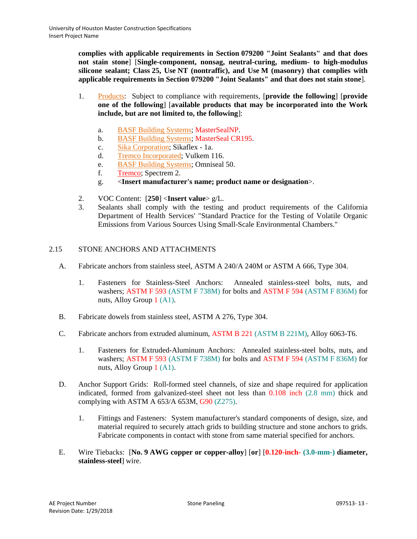**complies with applicable requirements in Section 079200 "Joint Sealants" and that does not stain stone**] [**Single-component, nonsag, neutral-curing, medium- to high-modulus silicone sealant; Class 25, Use NT (nontraffic), and Use M (masonry) that complies with applicable requirements in Section 079200 "Joint Sealants" and that does not stain stone**].

- 1. [Products:](http://www.specagent.com/LookUp/?ulid=6739&mf=04&src=wd) Subject to compliance with requirements, [**provide the following**] [**provide one of the following**] [**available products that may be incorporated into the Work include, but are not limited to, the following**]:
	- a. BASF Building Systems; MasterSealNP.
	- b. BASF Building Systems; MasterSeal CR195.
	- c. [Sika Corporation;](http://www.specagent.com/LookUp/?uid=123456835378&mf=04&src=wd) Sikaflex 1a.
	- d. [Tremco Incorporated;](http://www.specagent.com/LookUp/?uid=123456835380&mf=04&src=wd) Vulkem 116.
	- e. [BASF Building Systems;](http://www.specagent.com/LookUp/?uid=123456835377&mf=04&src=wd) Omniseal 50.
	- f. Tremco; Spectrem 2.
	- g. <**Insert manufacturer's name; product name or designation**>.
- 2. VOC Content: [**250**] <**Insert value**> g/L.
- 3. Sealants shall comply with the testing and product requirements of the California Department of Health Services' "Standard Practice for the Testing of Volatile Organic Emissions from Various Sources Using Small-Scale Environmental Chambers."

## 2.15 STONE ANCHORS AND ATTACHMENTS

- A. Fabricate anchors from stainless steel, ASTM A 240/A 240M or ASTM A 666, Type 304.
	- 1. Fasteners for Stainless-Steel Anchors: Annealed stainless-steel bolts, nuts, and washers; ASTM F 593 (ASTM F 738M) for bolts and ASTM F 594 (ASTM F 836M) for nuts, Alloy Group 1 (A1).
- B. Fabricate dowels from stainless steel, ASTM A 276, Type 304.
- C. Fabricate anchors from extruded aluminum, ASTM B 221 (ASTM B 221M), Alloy 6063-T6.
	- 1. Fasteners for Extruded-Aluminum Anchors: Annealed stainless-steel bolts, nuts, and washers; ASTM F 593 (ASTM F 738M) for bolts and ASTM F 594 (ASTM F 836M) for nuts, Alloy Group 1 (A1).
- D. Anchor Support Grids: Roll-formed steel channels, of size and shape required for application indicated, formed from galvanized-steel sheet not less than 0.108 inch (2.8 mm) thick and complying with ASTM A 653/A 653M, G90 (Z275).
	- 1. Fittings and Fasteners: System manufacturer's standard components of design, size, and material required to securely attach grids to building structure and stone anchors to grids. Fabricate components in contact with stone from same material specified for anchors.
- E. Wire Tiebacks: [**No. 9 AWG copper or copper-alloy**] [**or**] [**0.120-inch- (3.0-mm-) diameter, stainless-steel**] wire.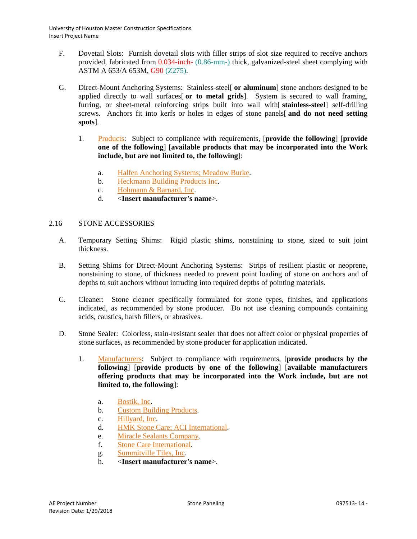- F. Dovetail Slots: Furnish dovetail slots with filler strips of slot size required to receive anchors provided, fabricated from 0.034-inch- (0.86-mm-) thick, galvanized-steel sheet complying with ASTM A 653/A 653M, G90 (Z275).
- G. Direct-Mount Anchoring Systems: Stainless-steel[ **or aluminum**] stone anchors designed to be applied directly to wall surfaces[ **or to metal grids**]. System is secured to wall framing, furring, or sheet-metal reinforcing strips built into wall with[ **stainless-steel**] self-drilling screws. Anchors fit into kerfs or holes in edges of stone panels[ **and do not need setting spots**].
	- 1. [Products:](http://www.specagent.com/LookUp/?ulid=6740&mf=04&src=wd) Subject to compliance with requirements, [**provide the following**] [**provide one of the following**] [**available products that may be incorporated into the Work include, but are not limited to, the following**]:
		- a. [Halfen Anchoring Systems; Meadow Burke.](http://www.specagent.com/LookUp/?uid=123456835381&mf=04&src=wd)
		- b. [Heckmann Building Products Inc.](http://www.specagent.com/LookUp/?uid=123456835382&mf=04&src=wd)
		- c. [Hohmann & Barnard, Inc.](http://www.specagent.com/LookUp/?uid=123456835383&mf=04&src=wd)
		- d. <**Insert manufacturer's name**>.

## 2.16 STONE ACCESSORIES

- A. Temporary Setting Shims: Rigid plastic shims, nonstaining to stone, sized to suit joint thickness.
- B. Setting Shims for Direct-Mount Anchoring Systems: Strips of resilient plastic or neoprene, nonstaining to stone, of thickness needed to prevent point loading of stone on anchors and of depths to suit anchors without intruding into required depths of pointing materials.
- C. Cleaner: Stone cleaner specifically formulated for stone types, finishes, and applications indicated, as recommended by stone producer. Do not use cleaning compounds containing acids, caustics, harsh fillers, or abrasives.
- D. Stone Sealer: Colorless, stain-resistant sealer that does not affect color or physical properties of stone surfaces, as recommended by stone producer for application indicated.
	- 1. [Manufacturers:](http://www.specagent.com/LookUp/?ulid=6741&mf=04&src=wd) Subject to compliance with requirements, [**provide products by the following**] [**provide products by one of the following**] [**available manufacturers offering products that may be incorporated into the Work include, but are not limited to, the following**]:
		- a. [Bostik, Inc.](http://www.specagent.com/LookUp/?uid=123456835384&mf=04&src=wd)
		- b. [Custom Building Products.](http://www.specagent.com/LookUp/?uid=123456835385&mf=04&src=wd)
		- c. [Hillyard, Inc.](http://www.specagent.com/LookUp/?uid=123456835386&mf=04&src=wd)
		- d. [HMK Stone Care; ACI International.](http://www.specagent.com/LookUp/?uid=123456835387&mf=04&src=wd)
		- e. [Miracle Sealants Company.](http://www.specagent.com/LookUp/?uid=123456835388&mf=04&src=wd)
		- f. [Stone Care International.](http://www.specagent.com/LookUp/?uid=123456835389&mf=04&src=wd)
		- g. [Summitville Tiles, Inc.](http://www.specagent.com/LookUp/?uid=123456835390&mf=04&src=wd)
		- h. <**Insert manufacturer's name**>.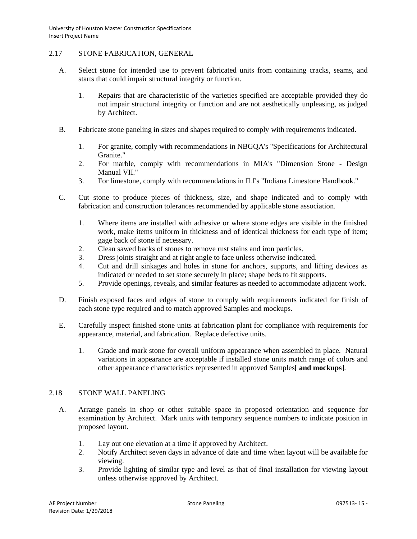### 2.17 STONE FABRICATION, GENERAL

- A. Select stone for intended use to prevent fabricated units from containing cracks, seams, and starts that could impair structural integrity or function.
	- 1. Repairs that are characteristic of the varieties specified are acceptable provided they do not impair structural integrity or function and are not aesthetically unpleasing, as judged by Architect.
- B. Fabricate stone paneling in sizes and shapes required to comply with requirements indicated.
	- 1. For granite, comply with recommendations in NBGQA's "Specifications for Architectural Granite."
	- 2. For marble, comply with recommendations in MIA's "Dimension Stone Design Manual VII."
	- 3. For limestone, comply with recommendations in ILI's "Indiana Limestone Handbook."
- C. Cut stone to produce pieces of thickness, size, and shape indicated and to comply with fabrication and construction tolerances recommended by applicable stone association.
	- 1. Where items are installed with adhesive or where stone edges are visible in the finished work, make items uniform in thickness and of identical thickness for each type of item; gage back of stone if necessary.
	- 2. Clean sawed backs of stones to remove rust stains and iron particles.
	- 3. Dress joints straight and at right angle to face unless otherwise indicated.
	- 4. Cut and drill sinkages and holes in stone for anchors, supports, and lifting devices as indicated or needed to set stone securely in place; shape beds to fit supports.
	- 5. Provide openings, reveals, and similar features as needed to accommodate adjacent work.
- D. Finish exposed faces and edges of stone to comply with requirements indicated for finish of each stone type required and to match approved Samples and mockups.
- E. Carefully inspect finished stone units at fabrication plant for compliance with requirements for appearance, material, and fabrication. Replace defective units.
	- 1. Grade and mark stone for overall uniform appearance when assembled in place. Natural variations in appearance are acceptable if installed stone units match range of colors and other appearance characteristics represented in approved Samples[ **and mockups**].

## 2.18 STONE WALL PANELING

- A. Arrange panels in shop or other suitable space in proposed orientation and sequence for examination by Architect. Mark units with temporary sequence numbers to indicate position in proposed layout.
	- 1. Lay out one elevation at a time if approved by Architect.
	- 2. Notify Architect seven days in advance of date and time when layout will be available for viewing.
	- 3. Provide lighting of similar type and level as that of final installation for viewing layout unless otherwise approved by Architect.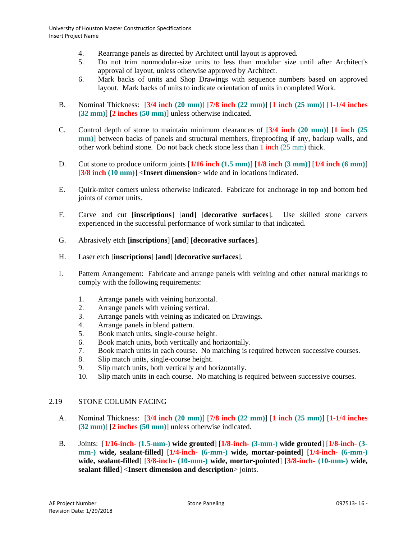- 4. Rearrange panels as directed by Architect until layout is approved.
- 5. Do not trim nonmodular-size units to less than modular size until after Architect's approval of layout, unless otherwise approved by Architect.
- 6. Mark backs of units and Shop Drawings with sequence numbers based on approved layout. Mark backs of units to indicate orientation of units in completed Work.
- B. Nominal Thickness: [**3/4 inch (20 mm)**] [**7/8 inch (22 mm)**] [**1 inch (25 mm)**] [**1-1/4 inches (32 mm)**] [**2 inches (50 mm)**] unless otherwise indicated.
- C. Control depth of stone to maintain minimum clearances of [**3/4 inch (20 mm)**] [**1 inch (25 mm**)] between backs of panels and structural members, fireproofing if any, backup walls, and other work behind stone. Do not back check stone less than 1 inch (25 mm) thick.
- D. Cut stone to produce uniform joints [**1/16 inch (1.5 mm)**] [**1/8 inch (3 mm)**] [**1/4 inch (6 mm)**] [**3/8 inch (10 mm)**] <**Insert dimension**> wide and in locations indicated.
- E. Quirk-miter corners unless otherwise indicated. Fabricate for anchorage in top and bottom bed joints of corner units.
- F. Carve and cut [**inscriptions**] [**and**] [**decorative surfaces**]. Use skilled stone carvers experienced in the successful performance of work similar to that indicated.
- G. Abrasively etch [**inscriptions**] [**and**] [**decorative surfaces**].
- H. Laser etch [**inscriptions**] [**and**] [**decorative surfaces**].
- I. Pattern Arrangement: Fabricate and arrange panels with veining and other natural markings to comply with the following requirements:
	- 1. Arrange panels with veining horizontal.
	- 2. Arrange panels with veining vertical.
	- 3. Arrange panels with veining as indicated on Drawings.
	- 4. Arrange panels in blend pattern.
	- 5. Book match units, single-course height.
	- 6. Book match units, both vertically and horizontally.
	- 7. Book match units in each course. No matching is required between successive courses.
	- 8. Slip match units, single-course height.
	- 9. Slip match units, both vertically and horizontally.
	- 10. Slip match units in each course. No matching is required between successive courses.

## 2.19 STONE COLUMN FACING

- A. Nominal Thickness: [**3/4 inch (20 mm)**] [**7/8 inch (22 mm)**] [**1 inch (25 mm)**] [**1-1/4 inches (32 mm)**] [**2 inches (50 mm)**] unless otherwise indicated.
- B. Joints: [**1/16-inch- (1.5-mm-) wide grouted**] [**1/8-inch- (3-mm-) wide grouted**] [**1/8-inch- (3 mm-) wide, sealant-filled**] [**1/4-inch- (6-mm-) wide, mortar-pointed**] [**1/4-inch- (6-mm-) wide, sealant-filled**] [**3/8-inch- (10-mm-) wide, mortar-pointed**] [**3/8-inch- (10-mm-) wide, sealant-filled**] <**Insert dimension and description**> joints.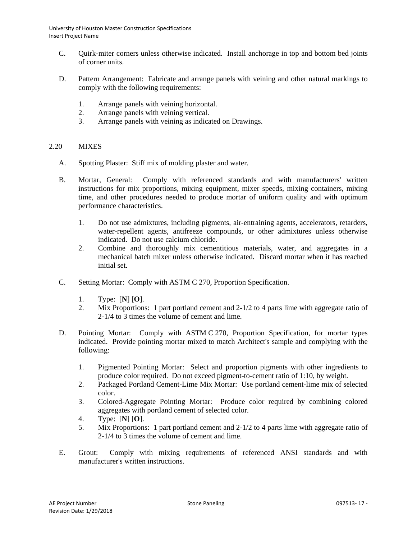- C. Quirk-miter corners unless otherwise indicated. Install anchorage in top and bottom bed joints of corner units.
- D. Pattern Arrangement: Fabricate and arrange panels with veining and other natural markings to comply with the following requirements:
	- 1. Arrange panels with veining horizontal.
	- 2. Arrange panels with veining vertical.
	- 3. Arrange panels with veining as indicated on Drawings.

## 2.20 MIXES

- A. Spotting Plaster: Stiff mix of molding plaster and water.
- B. Mortar, General: Comply with referenced standards and with manufacturers' written instructions for mix proportions, mixing equipment, mixer speeds, mixing containers, mixing time, and other procedures needed to produce mortar of uniform quality and with optimum performance characteristics.
	- 1. Do not use admixtures, including pigments, air-entraining agents, accelerators, retarders, water-repellent agents, antifreeze compounds, or other admixtures unless otherwise indicated. Do not use calcium chloride.
	- 2. Combine and thoroughly mix cementitious materials, water, and aggregates in a mechanical batch mixer unless otherwise indicated. Discard mortar when it has reached initial set.
- C. Setting Mortar: Comply with ASTM C 270, Proportion Specification.
	- 1. Type: [**N**] [**O**].
	- 2. Mix Proportions: 1 part portland cement and 2-1/2 to 4 parts lime with aggregate ratio of 2-1/4 to 3 times the volume of cement and lime.
- D. Pointing Mortar: Comply with ASTM C 270, Proportion Specification, for mortar types indicated. Provide pointing mortar mixed to match Architect's sample and complying with the following:
	- 1. Pigmented Pointing Mortar: Select and proportion pigments with other ingredients to produce color required. Do not exceed pigment-to-cement ratio of 1:10, by weight.
	- 2. Packaged Portland Cement-Lime Mix Mortar: Use portland cement-lime mix of selected color.
	- 3. Colored-Aggregate Pointing Mortar: Produce color required by combining colored aggregates with portland cement of selected color.
	- 4. Type: [**N**] [**O**].
	- 5. Mix Proportions: 1 part portland cement and 2-1/2 to 4 parts lime with aggregate ratio of 2-1/4 to 3 times the volume of cement and lime.
- E. Grout: Comply with mixing requirements of referenced ANSI standards and with manufacturer's written instructions.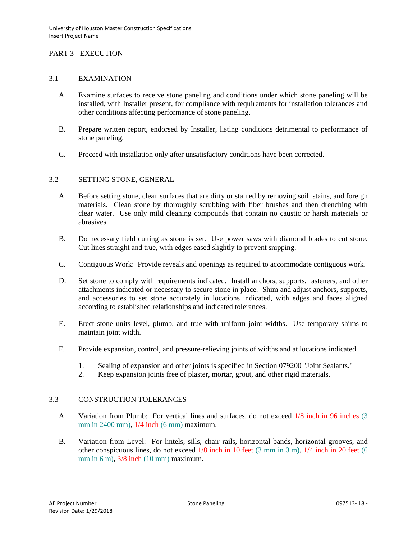## PART 3 - EXECUTION

### 3.1 EXAMINATION

- A. Examine surfaces to receive stone paneling and conditions under which stone paneling will be installed, with Installer present, for compliance with requirements for installation tolerances and other conditions affecting performance of stone paneling.
- B. Prepare written report, endorsed by Installer, listing conditions detrimental to performance of stone paneling.
- C. Proceed with installation only after unsatisfactory conditions have been corrected.

### 3.2 SETTING STONE, GENERAL

- A. Before setting stone, clean surfaces that are dirty or stained by removing soil, stains, and foreign materials. Clean stone by thoroughly scrubbing with fiber brushes and then drenching with clear water. Use only mild cleaning compounds that contain no caustic or harsh materials or abrasives.
- B. Do necessary field cutting as stone is set. Use power saws with diamond blades to cut stone. Cut lines straight and true, with edges eased slightly to prevent snipping.
- C. Contiguous Work: Provide reveals and openings as required to accommodate contiguous work.
- D. Set stone to comply with requirements indicated. Install anchors, supports, fasteners, and other attachments indicated or necessary to secure stone in place. Shim and adjust anchors, supports, and accessories to set stone accurately in locations indicated, with edges and faces aligned according to established relationships and indicated tolerances.
- E. Erect stone units level, plumb, and true with uniform joint widths. Use temporary shims to maintain joint width.
- F. Provide expansion, control, and pressure-relieving joints of widths and at locations indicated.
	- 1. Sealing of expansion and other joints is specified in Section 079200 "Joint Sealants."
	- 2. Keep expansion joints free of plaster, mortar, grout, and other rigid materials.

## 3.3 CONSTRUCTION TOLERANCES

- A. Variation from Plumb: For vertical lines and surfaces, do not exceed 1/8 inch in 96 inches (3 mm in 2400 mm), 1/4 inch (6 mm) maximum.
- B. Variation from Level: For lintels, sills, chair rails, horizontal bands, horizontal grooves, and other conspicuous lines, do not exceed 1/8 inch in 10 feet (3 mm in 3 m), 1/4 inch in 20 feet (6 mm in 6 m), 3/8 inch (10 mm) maximum.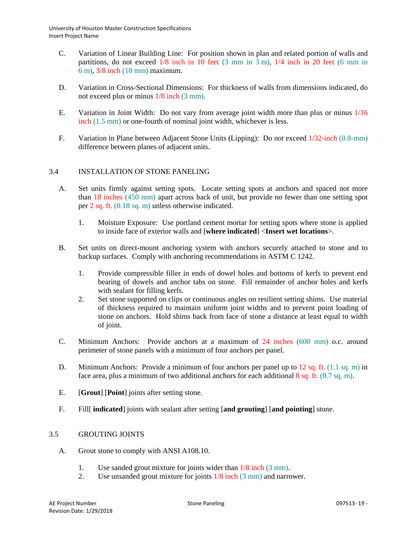- C. Variation of Linear Building Line: For position shown in plan and related portion of walls and partitions, do not exceed 1/8 inch in 10 feet (3 mm in 3 m), 1/4 inch in 20 feet (6 mm in 6 m), 3/8 inch (10 mm) maximum.
- D. Variation in Cross-Sectional Dimensions: For thickness of walls from dimensions indicated, do not exceed plus or minus 1/8 inch (3 mm).
- E. Variation in Joint Width: Do not vary from average joint width more than plus or minus 1/16 inch (1.5 mm) or one-fourth of nominal joint width, whichever is less.
- F. Variation in Plane between Adjacent Stone Units (Lipping): Do not exceed 1/32-inch (0.8-mm) difference between planes of adjacent units.

## 3.4 INSTALLATION OF STONE PANELING

- A. Set units firmly against setting spots. Locate setting spots at anchors and spaced not more than 18 inches (450 mm) apart across back of unit, but provide no fewer than one setting spot per 2 sq. ft. (0.18 sq. m) unless otherwise indicated.
	- 1. Moisture Exposure: Use portland cement mortar for setting spots where stone is applied to inside face of exterior walls and [**where indicated**] <**Insert wet locations**>.
- B. Set units on direct-mount anchoring system with anchors securely attached to stone and to backup surfaces. Comply with anchoring recommendations in ASTM C 1242.
	- 1. Provide compressible filler in ends of dowel holes and bottoms of kerfs to prevent end bearing of dowels and anchor tabs on stone. Fill remainder of anchor holes and kerfs with sealant for filling kerfs.
	- 2. Set stone supported on clips or continuous angles on resilient setting shims. Use material of thickness required to maintain uniform joint widths and to prevent point loading of stone on anchors. Hold shims back from face of stone a distance at least equal to width of joint.
- C. Minimum Anchors: Provide anchors at a maximum of 24 inches (600 mm) o.c. around perimeter of stone panels with a minimum of four anchors per panel.
- D. Minimum Anchors: Provide a minimum of four anchors per panel up to 12 sq. ft. (1.1 sq. m) in face area, plus a minimum of two additional anchors for each additional 8 sq. ft. (0.7 sq. m).
- E. [**Grout**] [**Point**] joints after setting stone.
- F. Fill[ **indicated**] joints with sealant after setting [**and grouting**] [**and pointing**] stone.

### 3.5 GROUTING JOINTS

- A. Grout stone to comply with ANSI A108.10.
	- 1. Use sanded grout mixture for joints wider than 1/8 inch (3 mm).
	- 2. Use unsanded grout mixture for joints 1/8 inch (3 mm) and narrower.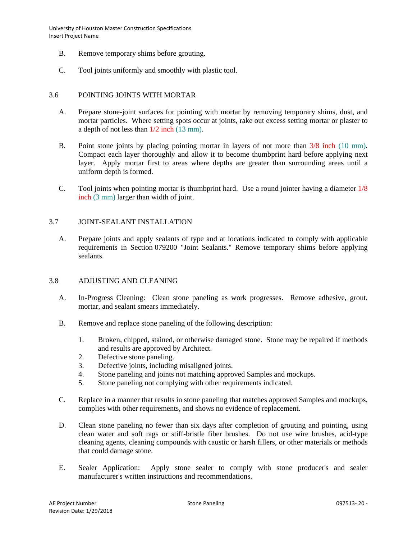- B. Remove temporary shims before grouting.
- C. Tool joints uniformly and smoothly with plastic tool.

### 3.6 POINTING JOINTS WITH MORTAR

- A. Prepare stone-joint surfaces for pointing with mortar by removing temporary shims, dust, and mortar particles. Where setting spots occur at joints, rake out excess setting mortar or plaster to a depth of not less than 1/2 inch (13 mm).
- B. Point stone joints by placing pointing mortar in layers of not more than  $3/8$  inch (10 mm). Compact each layer thoroughly and allow it to become thumbprint hard before applying next layer. Apply mortar first to areas where depths are greater than surrounding areas until a uniform depth is formed.
- C. Tool joints when pointing mortar is thumbprint hard. Use a round jointer having a diameter 1/8 inch (3 mm) larger than width of joint.

### 3.7 JOINT-SEALANT INSTALLATION

A. Prepare joints and apply sealants of type and at locations indicated to comply with applicable requirements in Section 079200 "Joint Sealants." Remove temporary shims before applying sealants.

### 3.8 ADJUSTING AND CLEANING

- A. In-Progress Cleaning: Clean stone paneling as work progresses. Remove adhesive, grout, mortar, and sealant smears immediately.
- B. Remove and replace stone paneling of the following description:
	- 1. Broken, chipped, stained, or otherwise damaged stone. Stone may be repaired if methods and results are approved by Architect.
	- 2. Defective stone paneling.
	- 3. Defective joints, including misaligned joints.
	- 4. Stone paneling and joints not matching approved Samples and mockups.
	- 5. Stone paneling not complying with other requirements indicated.
- C. Replace in a manner that results in stone paneling that matches approved Samples and mockups, complies with other requirements, and shows no evidence of replacement.
- D. Clean stone paneling no fewer than six days after completion of grouting and pointing, using clean water and soft rags or stiff-bristle fiber brushes. Do not use wire brushes, acid-type cleaning agents, cleaning compounds with caustic or harsh fillers, or other materials or methods that could damage stone.
- E. Sealer Application: Apply stone sealer to comply with stone producer's and sealer manufacturer's written instructions and recommendations.